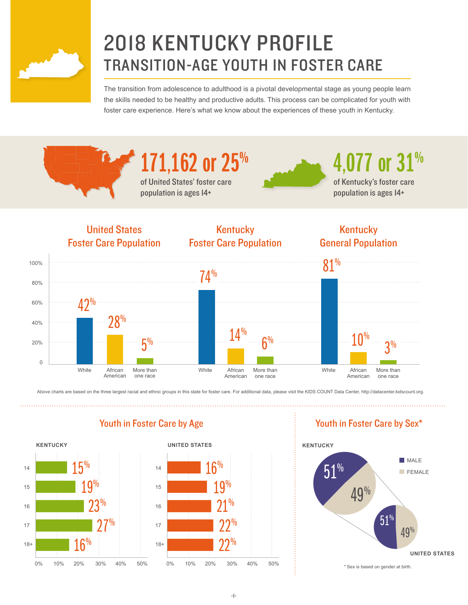

# 2018 KENTUCKY PROFILE TRANSITION-AGE YOUTH IN FOSTER CARE

The transition from adolescence to adulthood is a pivotal developmental stage as young people learn the skills needed to be healthy and productive adults. This process can be complicated for youth with foster care experience. Here's what we know about the experiences of these youth in Kentucky.





4,077 or 31%

of Kentucky's foster care population is ages 14+



Above charts are based on the three largest racial and ethnic groups in this state for foster care. For additional data, please visit the KIDS COUNT Data Center, http://datacenter.kidscount.org.



## Youth in Foster Care by Age Youth in Foster Care by Sex\*

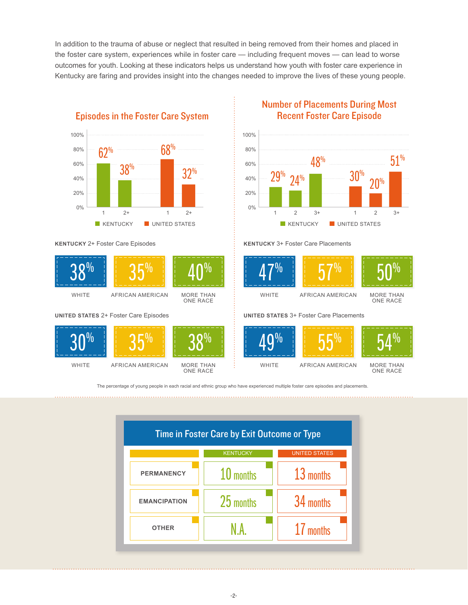In addition to the trauma of abuse or neglect that resulted in being removed from their homes and placed in the foster care system, experiences while in foster care — including frequent moves — can lead to worse outcomes for youth. Looking at these indicators helps us understand how youth with foster care experience in Kentucky are faring and provides insight into the changes needed to improve the lives of these young people.



**KENTUCKY** 2+ Foster Care Episodes



**WHITE** 





Number of Placements During Most Recent Foster Care Episode



#### **KENTUCKY** 3+ Foster Care Placements



WHITE

MORE THAN ONE RACE

**UNITED STATES** 3+ Foster Care Placements



MORE THAN ONE RACE

The percentage of young people in each racial and ethnic group who have experienced multiple foster care episodes and placements.

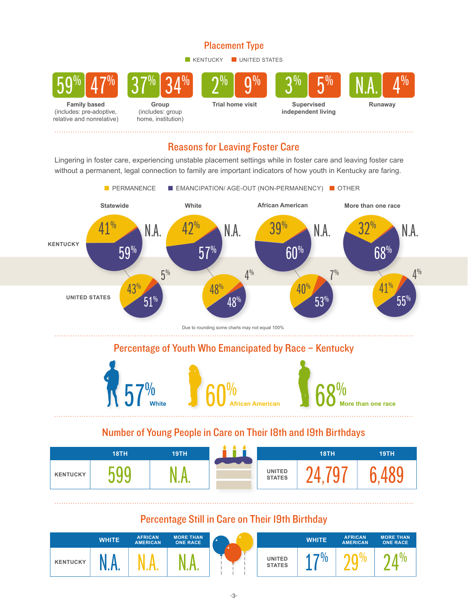#### Placement Type

KENTUCKY UNITED STATES



#### Reasons for Leaving Foster Care

Lingering in foster care, experiencing unstable placement settings while in foster care and leaving foster care without a permanent, legal connection to family are important indicators of how youth in Kentucky are faring.



#### Number of Young People in Care on Their 18th and 19th Birthdays

|                 | 18TH | <b>19TH</b> |                                | 18TH | 19TH |
|-----------------|------|-------------|--------------------------------|------|------|
| <b>KENTUCKY</b> | v v  | ta Li       | <b>UNITED</b><br><b>STATES</b> |      |      |

### Percentage Still in Care on Their 19th Birthday